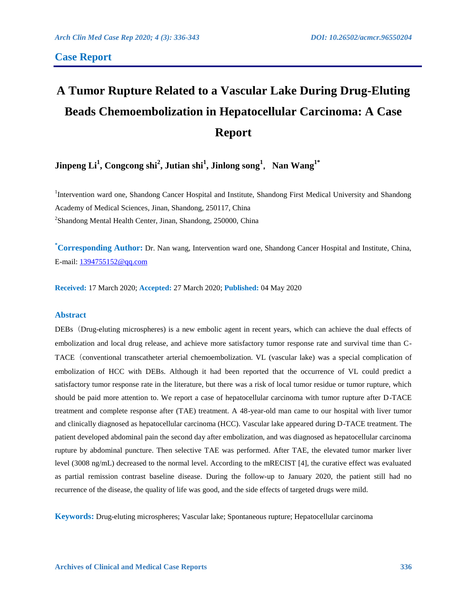# **Case Report**

# **A Tumor Rupture Related to a Vascular Lake During Drug-Eluting Beads Chemoembolization in Hepatocellular Carcinoma: A Case Report**

**Jinpeng Li<sup>1</sup> , Congcong shi<sup>2</sup> , Jutian shi<sup>1</sup> , Jinlong song<sup>1</sup>**,**Nan Wang1\***

<sup>1</sup>Intervention ward one, Shandong Cancer Hospital and Institute, Shandong First Medical University and Shandong Academy of Medical Sciences, Jinan, Shandong, 250117, China <sup>2</sup>Shandong Mental Health Center, Jinan, Shandong, 250000, China

**\*Corresponding Author:** Dr. Nan wang, Intervention ward one, Shandong Cancer Hospital and Institute, China, E-mail: [1394755152@qq.com](mailto:1394755152@qq.com)

**Received:** 17 March 2020; **Accepted:** 27 March 2020; **Published:** 04 May 2020

# **Abstract**

DEBs(Drug-eluting microspheres) is a new embolic agent in recent years, which can achieve the dual effects of embolization and local drug release, and achieve more satisfactory tumor response rate and survival time than C-TACE (conventional transcatheter arterial chemoembolization. VL (vascular lake) was a special complication of embolization of HCC with DEBs. Although it had been reported that the occurrence of VL could predict a satisfactory tumor response rate in the literature, but there was a risk of local tumor residue or tumor rupture, which should be paid more attention to. We report a case of hepatocellular carcinoma with tumor rupture after D-TACE treatment and complete response after (TAE) treatment. A 48-year-old man came to our hospital with liver tumor and clinically diagnosed as hepatocellular carcinoma (HCC). Vascular lake appeared during D-TACE treatment. The patient developed abdominal pain the second day after embolization, and was diagnosed as hepatocellular carcinoma rupture by abdominal puncture. Then selective TAE was performed. After TAE, the elevated tumor marker liver level (3008 ng/mL) decreased to the normal level. According to the mRECIST [4], the curative effect was evaluated as partial remission contrast baseline disease. During the follow-up to January 2020, the patient still had no recurrence of the disease, the quality of life was good, and the side effects of targeted drugs were mild.

**Keywords:** Drug-eluting microspheres; Vascular lake; Spontaneous rupture; Hepatocellular carcinoma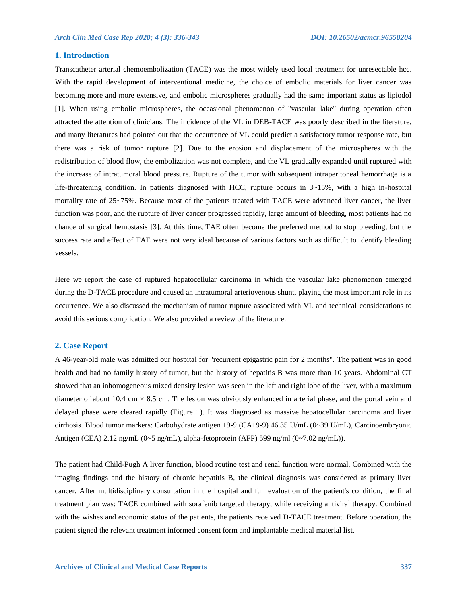## **1. Introduction**

Transcatheter arterial chemoembolization (TACE) was the most widely used local treatment for unresectable hcc. With the rapid development of interventional medicine, the choice of embolic materials for liver cancer was becoming more and more extensive, and embolic microspheres gradually had the same important status as lipiodol [1]. When using embolic microspheres, the occasional phenomenon of "vascular lake" during operation often attracted the attention of clinicians. The incidence of the VL in DEB-TACE was poorly described in the literature, and many literatures had pointed out that the occurrence of VL could predict a satisfactory tumor response rate, but there was a risk of tumor rupture [2]. Due to the erosion and displacement of the microspheres with the redistribution of blood flow, the embolization was not complete, and the VL gradually expanded until ruptured with the increase of intratumoral blood pressure. Rupture of the tumor with subsequent intraperitoneal hemorrhage is a life-threatening condition. In patients diagnosed with HCC, rupture occurs in  $3 \sim 15\%$ , with a high in-hospital mortality rate of 25~75%. Because most of the patients treated with TACE were advanced liver cancer, the liver function was poor, and the rupture of liver cancer progressed rapidly, large amount of bleeding, most patients had no chance of surgical hemostasis [3]. At this time, TAE often become the preferred method to stop bleeding, but the success rate and effect of TAE were not very ideal because of various factors such as difficult to identify bleeding vessels.

Here we report the case of ruptured hepatocellular carcinoma in which the vascular lake phenomenon emerged during the D-TACE procedure and caused an intratumoral arteriovenous shunt, playing the most important role in its occurrence. We also discussed the mechanism of tumor rupture associated with VL and technical considerations to avoid this serious complication. We also provided a review of the literature.

#### **2. Case Report**

A 46-year-old male was admitted our hospital for "recurrent epigastric pain for 2 months". The patient was in good health and had no family history of tumor, but the history of hepatitis B was more than 10 years. Abdominal CT showed that an inhomogeneous mixed density lesion was seen in the left and right lobe of the liver, with a maximum diameter of about 10.4 cm  $\times$  8.5 cm. The lesion was obviously enhanced in arterial phase, and the portal vein and delayed phase were cleared rapidly (Figure 1). It was diagnosed as massive hepatocellular carcinoma and liver cirrhosis. Blood tumor markers: Carbohydrate antigen 19-9 (CA19-9) 46.35 U/mL (0~39 U/mL), Carcinoembryonic Antigen (CEA) 2.12 ng/mL (0~5 ng/mL), alpha-fetoprotein (AFP) 599 ng/ml (0~7.02 ng/mL)).

The patient had Child-Pugh A liver function, blood routine test and renal function were normal. Combined with the imaging findings and the history of chronic hepatitis B, the clinical diagnosis was considered as primary liver cancer. After multidisciplinary consultation in the hospital and full evaluation of the patient's condition, the final treatment plan was: TACE combined with sorafenib targeted therapy, while receiving antiviral therapy. Combined with the wishes and economic status of the patients, the patients received D-TACE treatment. Before operation, the patient signed the relevant treatment informed consent form and implantable medical material list.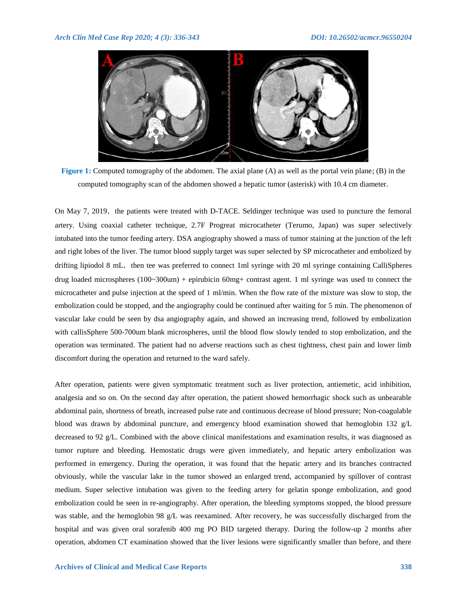

**Figure 1:** Computed tomography of the abdomen. The axial plane (A) as well as the portal vein plane; (B) in the computed tomography scan of the abdomen showed a hepatic tumor (asterisk) with 10.4 cm diameter.

On May 7, 2019, the patients were treated with D-TACE. Seldinger technique was used to puncture the femoral artery. Using coaxial catheter technique, 2.7F Progreat microcatheter (Terumo, Japan) was super selectively intubated into the tumor feeding artery. DSA angiography showed a mass of tumor staining at the junction of the left and right lobes of the liver. The tumor blood supply target was super selected by SP microcatheter and embolized by drifting lipiodol 8 mL, then tee was preferred to connect 1ml syringe with 20 ml syringe containing CalliSpheres drug loaded microspheres (100~300um) + epirubicin 60mg+ contrast agent. 1 ml syringe was used to connect the microcatheter and pulse injection at the speed of 1 ml/min. When the flow rate of the mixture was slow to stop, the embolization could be stopped, and the angiography could be continued after waiting for 5 min. The phenomenon of vascular lake could be seen by dsa angiography again, and showed an increasing trend, followed by embolization with callisSphere 500-700um blank microspheres, until the blood flow slowly tended to stop embolization, and the operation was terminated. The patient had no adverse reactions such as chest tightness, chest pain and lower limb discomfort during the operation and returned to the ward safely.

After operation, patients were given symptomatic treatment such as liver protection, antiemetic, acid inhibition, analgesia and so on. On the second day after operation, the patient showed hemorrhagic shock such as unbearable abdominal pain, shortness of breath, increased pulse rate and continuous decrease of blood pressure; Non-coagulable blood was drawn by abdominal puncture, and emergency blood examination showed that hemoglobin 132 g/L decreased to 92 g/L. Combined with the above clinical manifestations and examination results, it was diagnosed as tumor rupture and bleeding. Hemostatic drugs were given immediately, and hepatic artery embolization was performed in emergency. During the operation, it was found that the hepatic artery and its branches contracted obviously, while the vascular lake in the tumor showed an enlarged trend, accompanied by spillover of contrast medium. Super selective intubation was given to the feeding artery for gelatin sponge embolization, and good embolization could be seen in re-angiography. After operation, the bleeding symptoms stopped, the blood pressure was stable, and the hemoglobin 98 g/L was reexamined. After recovery, he was successfully discharged from the hospital and was given oral sorafenib 400 mg PO BID targeted therapy. During the follow-up 2 months after operation, abdomen CT examination showed that the liver lesions were significantly smaller than before, and there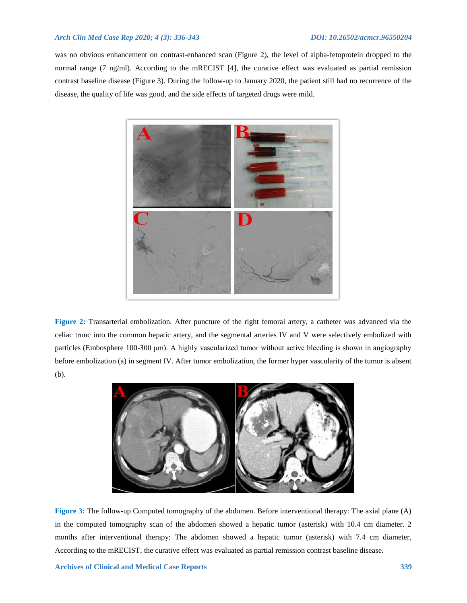# *Arch Clin Med Case Rep 2020; 4 (3): 336-343 DOI: 10.26502/acmcr.96550204*

was no obvious enhancement on contrast-enhanced scan (Figure 2), the level of alpha-fetoprotein dropped to the normal range (7 ng/ml). According to the mRECIST [4], the curative effect was evaluated as partial remission contrast baseline disease (Figure 3). During the follow-up to January 2020, the patient still had no recurrence of the disease, the quality of life was good, and the side effects of targeted drugs were mild.



**Figure 2:** Transarterial embolization. After puncture of the right femoral artery, a catheter was advanced via the celiac trunc into the common hepatic artery, and the segmental arteries IV and V were selectively embolized with particles (Embosphere 100-300 μm). A highly vascularized tumor without active bleeding is shown in angiography before embolization (a) in segment IV. After tumor embolization, the former hyper vascularity of the tumor is absent (b).



**Figure 3:** The follow-up Computed tomography of the abdomen. Before interventional therapy: The axial plane (A) in the computed tomography scan of the abdomen showed a hepatic tumor (asterisk) with 10.4 cm diameter. 2 months after interventional therapy: The abdomen showed a hepatic tumor (asterisk) with 7.4 cm diameter, According to the mRECIST, the curative effect was evaluated as partial remission contrast baseline disease.

**Archives of Clinical and Medical Case Reports 339**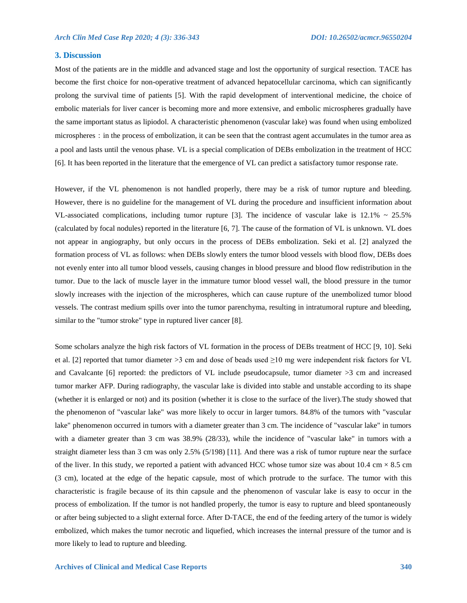#### **3. Discussion**

Most of the patients are in the middle and advanced stage and lost the opportunity of surgical resection. TACE has become the first choice for non-operative treatment of advanced hepatocellular carcinoma, which can significantly prolong the survival time of patients [5]. With the rapid development of interventional medicine, the choice of embolic materials for liver cancer is becoming more and more extensive, and embolic microspheres gradually have the same important status as lipiodol. A characteristic phenomenon (vascular lake) was found when using embolized microspheres: in the process of embolization, it can be seen that the contrast agent accumulates in the tumor area as a pool and lasts until the venous phase. VL is a special complication of DEBs embolization in the treatment of HCC [6]. It has been reported in the literature that the emergence of VL can predict a satisfactory tumor response rate.

However, if the VL phenomenon is not handled properly, there may be a risk of tumor rupture and bleeding. However, there is no guideline for the management of VL during the procedure and insufficient information about VL-associated complications, including tumor rupture [3]. The incidence of vascular lake is  $12.1\% \sim 25.5\%$ (calculated by focal nodules) reported in the literature [6, 7]. The cause of the formation of VL is unknown. VL does not appear in angiography, but only occurs in the process of DEBs embolization. Seki et al. [2] analyzed the formation process of VL as follows: when DEBs slowly enters the tumor blood vessels with blood flow, DEBs does not evenly enter into all tumor blood vessels, causing changes in blood pressure and blood flow redistribution in the tumor. Due to the lack of muscle layer in the immature tumor blood vessel wall, the blood pressure in the tumor slowly increases with the injection of the microspheres, which can cause rupture of the unembolized tumor blood vessels. The contrast medium spills over into the tumor parenchyma, resulting in intratumoral rupture and bleeding, similar to the "tumor stroke" type in ruptured liver cancer [8].

Some scholars analyze the high risk factors of VL formation in the process of DEBs treatment of HCC [9, 10]. Seki et al. [2] reported that tumor diameter >3 cm and dose of beads used  $\geq$ 10 mg were independent risk factors for VL and Cavalcante [6] reported: the predictors of VL include pseudocapsule, tumor diameter >3 cm and increased tumor marker AFP. During radiography, the vascular lake is divided into stable and unstable according to its shape (whether it is enlarged or not) and its position (whether it is close to the surface of the liver).The study showed that the phenomenon of "vascular lake" was more likely to occur in larger tumors. 84.8% of the tumors with "vascular lake" phenomenon occurred in tumors with a diameter greater than 3 cm. The incidence of "vascular lake" in tumors with a diameter greater than 3 cm was 38.9% (28/33), while the incidence of "vascular lake" in tumors with a straight diameter less than 3 cm was only 2.5% (5/198) [11]. And there was a risk of tumor rupture near the surface of the liver. In this study, we reported a patient with advanced HCC whose tumor size was about  $10.4 \text{ cm} \times 8.5 \text{ cm}$ (3 cm), located at the edge of the hepatic capsule, most of which protrude to the surface. The tumor with this characteristic is fragile because of its thin capsule and the phenomenon of vascular lake is easy to occur in the process of embolization. If the tumor is not handled properly, the tumor is easy to rupture and bleed spontaneously or after being subjected to a slight external force. After D-TACE, the end of the feeding artery of the tumor is widely embolized, which makes the tumor necrotic and liquefied, which increases the internal pressure of the tumor and is more likely to lead to rupture and bleeding.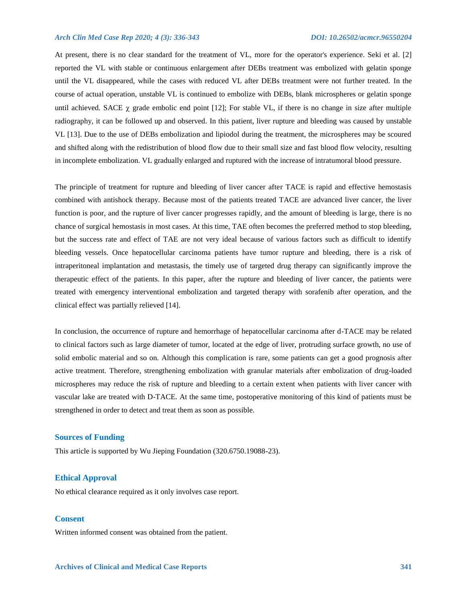#### *Arch Clin Med Case Rep 2020; 4 (3): 336-343 DOI: 10.26502/acmcr.96550204*

At present, there is no clear standard for the treatment of VL, more for the operator's experience. Seki et al. [2] reported the VL with stable or continuous enlargement after DEBs treatment was embolized with gelatin sponge until the VL disappeared, while the cases with reduced VL after DEBs treatment were not further treated. In the course of actual operation, unstable VL is continued to embolize with DEBs, blank microspheres or gelatin sponge until achieved. SACE  $\chi$  grade embolic end point [12]; For stable VL, if there is no change in size after multiple radiography, it can be followed up and observed. In this patient, liver rupture and bleeding was caused by unstable VL [13]. Due to the use of DEBs embolization and lipiodol during the treatment, the microspheres may be scoured and shifted along with the redistribution of blood flow due to their small size and fast blood flow velocity, resulting in incomplete embolization. VL gradually enlarged and ruptured with the increase of intratumoral blood pressure.

The principle of treatment for rupture and bleeding of liver cancer after TACE is rapid and effective hemostasis combined with antishock therapy. Because most of the patients treated TACE are advanced liver cancer, the liver function is poor, and the rupture of liver cancer progresses rapidly, and the amount of bleeding is large, there is no chance of surgical hemostasis in most cases. At this time, TAE often becomes the preferred method to stop bleeding, but the success rate and effect of TAE are not very ideal because of various factors such as difficult to identify bleeding vessels. Once hepatocellular carcinoma patients have tumor rupture and bleeding, there is a risk of intraperitoneal implantation and metastasis, the timely use of targeted drug therapy can significantly improve the therapeutic effect of the patients. In this paper, after the rupture and bleeding of liver cancer, the patients were treated with emergency interventional embolization and targeted therapy with sorafenib after operation, and the clinical effect was partially relieved [14].

In conclusion, the occurrence of rupture and hemorrhage of hepatocellular carcinoma after d-TACE may be related to clinical factors such as large diameter of tumor, located at the edge of liver, protruding surface growth, no use of solid embolic material and so on. Although this complication is rare, some patients can get a good prognosis after active treatment. Therefore, strengthening embolization with granular materials after embolization of drug-loaded microspheres may reduce the risk of rupture and bleeding to a certain extent when patients with liver cancer with vascular lake are treated with D-TACE. At the same time, postoperative monitoring of this kind of patients must be strengthened in order to detect and treat them as soon as possible.

#### **Sources of Funding**

This article is supported by Wu Jieping Foundation (320.6750.19088-23).

#### **Ethical Approval**

No ethical clearance required as it only involves case report.

# **Consent**

Written informed consent was obtained from the patient.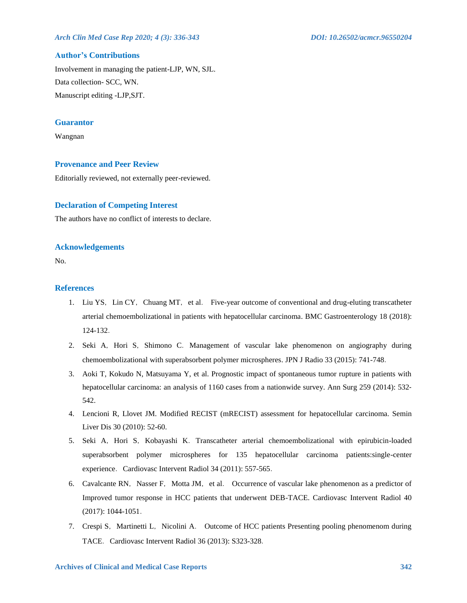# *Arch Clin Med Case Rep 2020; 4 (3): 336-343 DOI: 10.26502/acmcr.96550204*

# **Author's Contributions**

Involvement in managing the patient-LJP, WN, SJL. Data collection- SCC, WN. Manuscript editing -LJP,SJT.

#### **Guarantor**

Wangnan

#### **Provenance and Peer Review**

Editorially reviewed, not externally peer-reviewed.

# **Declaration of Competing Interest**

The authors have no conflict of interests to declare.

#### **Acknowledgements**

No.

# **References**

- 1. Liu YS, Lin CY, Chuang MT, et al. Five-year outcome of conventional and drug-eluting transcatheter arterial chemoembolizational in patients with hepatocellular carcinoma. BMC Gastroenterology 18 (2018): 124-132.
- 2. Seki A, Hori S, Shimono C. Management of vascular lake phenomenon on angiography during chemoembolizational with superabsorbent polymer microspheres. JPN J Radio 33 (2015): 741-748.
- 3. Aoki T, Kokudo N, Matsuyama Y, et al. Prognostic impact of spontaneous tumor rupture in patients with hepatocellular carcinoma: an analysis of 1160 cases from a nationwide survey. Ann Surg 259 (2014): 532-542.
- 4. Lencioni R, Llovet JM. Modified RECIST (mRECIST) assessment for hepatocellular carcinoma. Semin Liver Dis 30 (2010): 52-60.
- 5. Seki A,Hori S,Kobayashi K.Transcatheter arterial chemoembolizational with epirubicin-loaded superabsorbent polymer microspheres for 135 hepatocellular carcinoma patients:single-center experience. Cardiovasc Intervent Radiol 34 (2011): 557-565.
- 6. Cavalcante RN, Nasser F, Motta JM, et al. Occurrence of vascular lake phenomenon as a predictor of Improved tumor response in HCC patients that underwent DEB-TACE. Cardiovasc Intervent Radiol 40 (2017): 1044-1051.
- 7. Crespi S, Martinetti L, Nicolini A. Outcome of HCC patients Presenting pooling phenomenom during TACE. Cardiovasc Intervent Radiol 36 (2013): S323-328.